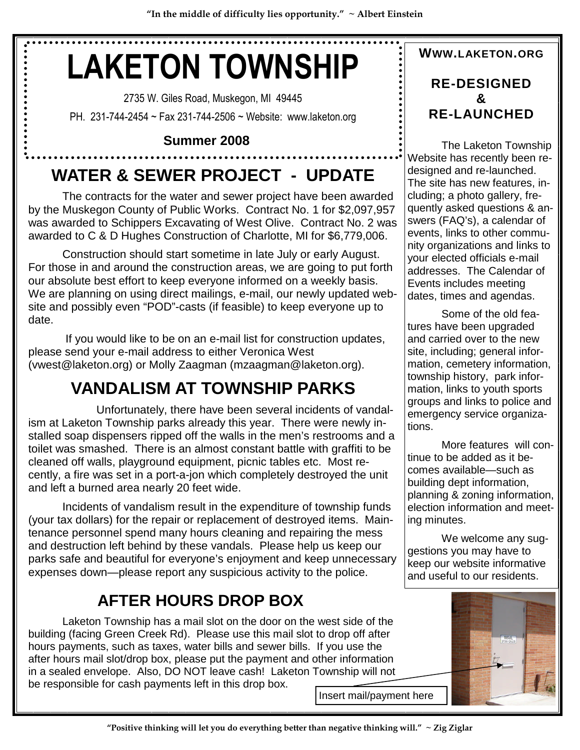# **LAKETON TOWNSHIP**

2735 W. Giles Road, Muskegon, MI 49445 PH. 231-744-2454 ~ Fax 231-744-2506 ~ Website: www.laketon.org

## **Summer 2008**

# **WATER & SEWER PROJECT - UPDATE**

The contracts for the water and sewer project have been awarded by the Muskegon County of Public Works. Contract No. 1 for \$2,097,957 was awarded to Schippers Excavating of West Olive. Contract No. 2 was awarded to C & D Hughes Construction of Charlotte, MI for \$6,779,006.

Construction should start sometime in late July or early August. For those in and around the construction areas, we are going to put forth our absolute best effort to keep everyone informed on a weekly basis. We are planning on using direct mailings, e-mail, our newly updated website and possibly even "POD"-casts (if feasible) to keep everyone up to date.

If you would like to be on an e-mail list for construction updates, please send your e-mail address to either Veronica West (vwest@laketon.org) or Molly Zaagman (mzaagman@laketon.org).

# **VANDALISM AT TOWNSHIP PARKS**

Unfortunately, there have been several incidents of vandalism at Laketon Township parks already this year. There were newly installed soap dispensers ripped off the walls in the men's restrooms and a toilet was smashed. There is an almost constant battle with graffiti to be cleaned off walls, playground equipment, picnic tables etc. Most recently, a fire was set in a port-a-jon which completely destroyed the unit and left a burned area nearly 20 feet wide.

Incidents of vandalism result in the expenditure of township funds (your tax dollars) for the repair or replacement of destroyed items. Maintenance personnel spend many hours cleaning and repairing the mess and destruction left behind by these vandals. Please help us keep our parks safe and beautiful for everyone's enjoyment and keep unnecessary expenses down—please report any suspicious activity to the police.

## **AFTER HOURS DROP BOX**

Laketon Township has a mail slot on the door on the west side of the building (facing Green Creek Rd). Please use this mail slot to drop off after hours payments, such as taxes, water bills and sewer bills. If you use the after hours mail slot/drop box, please put the payment and other information in a sealed envelope. Also, DO NOT leave cash! Laketon Township will not be responsible for cash payments left in this drop box.

## **WWW.LAKETON.ORG RE-DESIGNED & RE-LAUNCHED**

The Laketon Township Website has recently been redesigned and re-launched. The site has new features, including; a photo gallery, frequently asked questions & answers (FAQ's), a calendar of events, links to other community organizations and links to your elected officials e-mail addresses. The Calendar of Events includes meeting dates, times and agendas.

Some of the old features have been upgraded and carried over to the new site, including; general information, cemetery information, township history, park information, links to youth sports groups and links to police and emergency service organizations.

More features will continue to be added as it becomes available—such as building dept information, planning & zoning information, election information and meeting minutes.

We welcome any suggestions you may have to keep our website informative and useful to our residents.



Insert mail/payment here